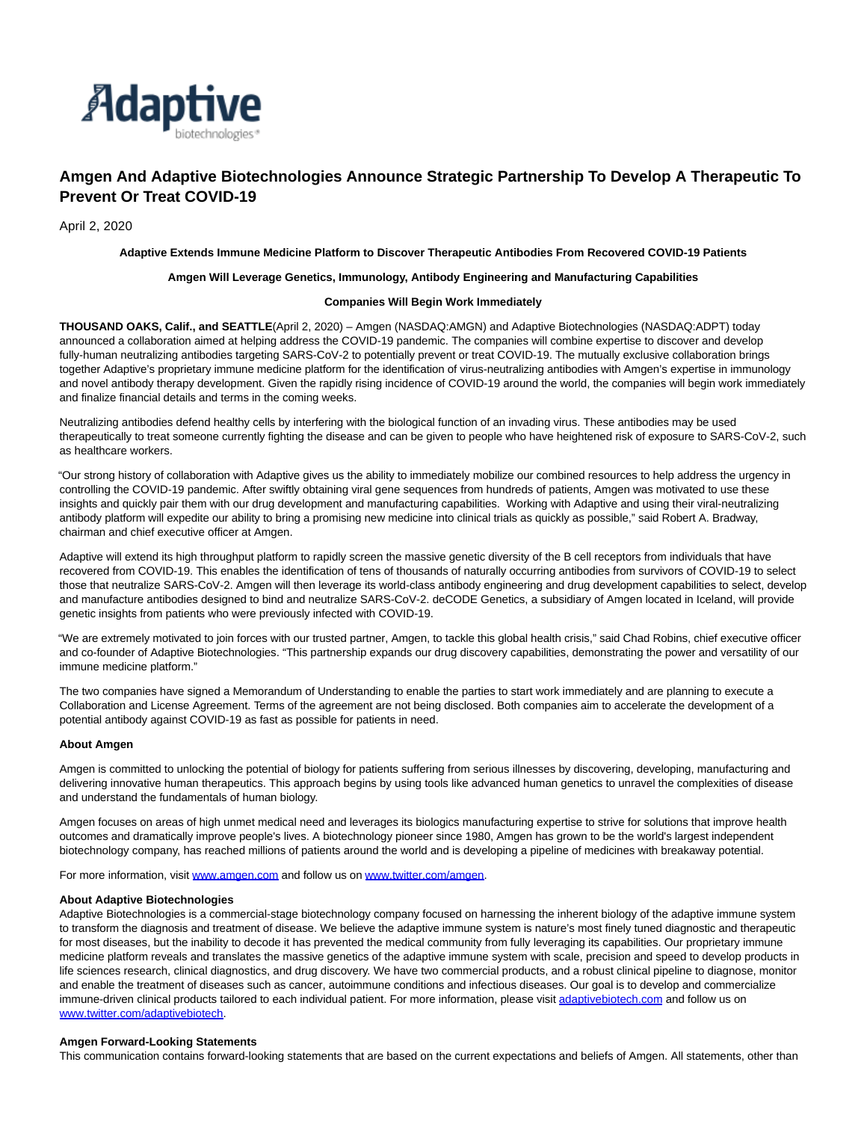

# **Amgen And Adaptive Biotechnologies Announce Strategic Partnership To Develop A Therapeutic To Prevent Or Treat COVID-19**

April 2, 2020

## **Adaptive Extends Immune Medicine Platform to Discover Therapeutic Antibodies From Recovered COVID-19 Patients**

## **Amgen Will Leverage Genetics, Immunology, Antibody Engineering and Manufacturing Capabilities**

## **Companies Will Begin Work Immediately**

**THOUSAND OAKS, Calif., and SEATTLE**(April 2, 2020) – Amgen (NASDAQ:AMGN) and Adaptive Biotechnologies (NASDAQ:ADPT) today announced a collaboration aimed at helping address the COVID-19 pandemic. The companies will combine expertise to discover and develop fully-human neutralizing antibodies targeting SARS-CoV-2 to potentially prevent or treat COVID-19. The mutually exclusive collaboration brings together Adaptive's proprietary immune medicine platform for the identification of virus-neutralizing antibodies with Amgen's expertise in immunology and novel antibody therapy development. Given the rapidly rising incidence of COVID-19 around the world, the companies will begin work immediately and finalize financial details and terms in the coming weeks.

Neutralizing antibodies defend healthy cells by interfering with the biological function of an invading virus. These antibodies may be used therapeutically to treat someone currently fighting the disease and can be given to people who have heightened risk of exposure to SARS-CoV-2, such as healthcare workers.

"Our strong history of collaboration with Adaptive gives us the ability to immediately mobilize our combined resources to help address the urgency in controlling the COVID-19 pandemic. After swiftly obtaining viral gene sequences from hundreds of patients, Amgen was motivated to use these insights and quickly pair them with our drug development and manufacturing capabilities. Working with Adaptive and using their viral-neutralizing antibody platform will expedite our ability to bring a promising new medicine into clinical trials as quickly as possible," said Robert A. Bradway, chairman and chief executive officer at Amgen.

Adaptive will extend its high throughput platform to rapidly screen the massive genetic diversity of the B cell receptors from individuals that have recovered from COVID-19. This enables the identification of tens of thousands of naturally occurring antibodies from survivors of COVID-19 to select those that neutralize SARS-CoV-2. Amgen will then leverage its world-class antibody engineering and drug development capabilities to select, develop and manufacture antibodies designed to bind and neutralize SARS-CoV-2. deCODE Genetics, a subsidiary of Amgen located in Iceland, will provide genetic insights from patients who were previously infected with COVID-19.

"We are extremely motivated to join forces with our trusted partner, Amgen, to tackle this global health crisis," said Chad Robins, chief executive officer and co-founder of Adaptive Biotechnologies. "This partnership expands our drug discovery capabilities, demonstrating the power and versatility of our immune medicine platform."

The two companies have signed a Memorandum of Understanding to enable the parties to start work immediately and are planning to execute a Collaboration and License Agreement. Terms of the agreement are not being disclosed. Both companies aim to accelerate the development of a potential antibody against COVID-19 as fast as possible for patients in need.

## **About Amgen**

Amgen is committed to unlocking the potential of biology for patients suffering from serious illnesses by discovering, developing, manufacturing and delivering innovative human therapeutics. This approach begins by using tools like advanced human genetics to unravel the complexities of disease and understand the fundamentals of human biology.

Amgen focuses on areas of high unmet medical need and leverages its biologics manufacturing expertise to strive for solutions that improve health outcomes and dramatically improve people's lives. A biotechnology pioneer since 1980, Amgen has grown to be the world's largest independent biotechnology company, has reached millions of patients around the world and is developing a pipeline of medicines with breakaway potential.

For more information, visit [www.amgen.com a](http://www.amgen.com/)nd follow us on [www.twitter.com/amgen.](http://www.twitter.com/amgen)

## **About Adaptive Biotechnologies**

Adaptive Biotechnologies is a commercial-stage biotechnology company focused on harnessing the inherent biology of the adaptive immune system to transform the diagnosis and treatment of disease. We believe the adaptive immune system is nature's most finely tuned diagnostic and therapeutic for most diseases, but the inability to decode it has prevented the medical community from fully leveraging its capabilities. Our proprietary immune medicine platform reveals and translates the massive genetics of the adaptive immune system with scale, precision and speed to develop products in life sciences research, clinical diagnostics, and drug discovery. We have two commercial products, and a robust clinical pipeline to diagnose, monitor and enable the treatment of diseases such as cancer, autoimmune conditions and infectious diseases. Our goal is to develop and commercialize immune-driven clinical products tailored to each individual patient. For more information, please visit [adaptivebiotech.com a](https://www.adaptivebiotech.com/)nd follow us on [www.twitter.com/adaptivebiotech.](http://www.twitter.com/adaptivebiotech)

## **Amgen Forward-Looking Statements**

This communication contains forward-looking statements that are based on the current expectations and beliefs of Amgen. All statements, other than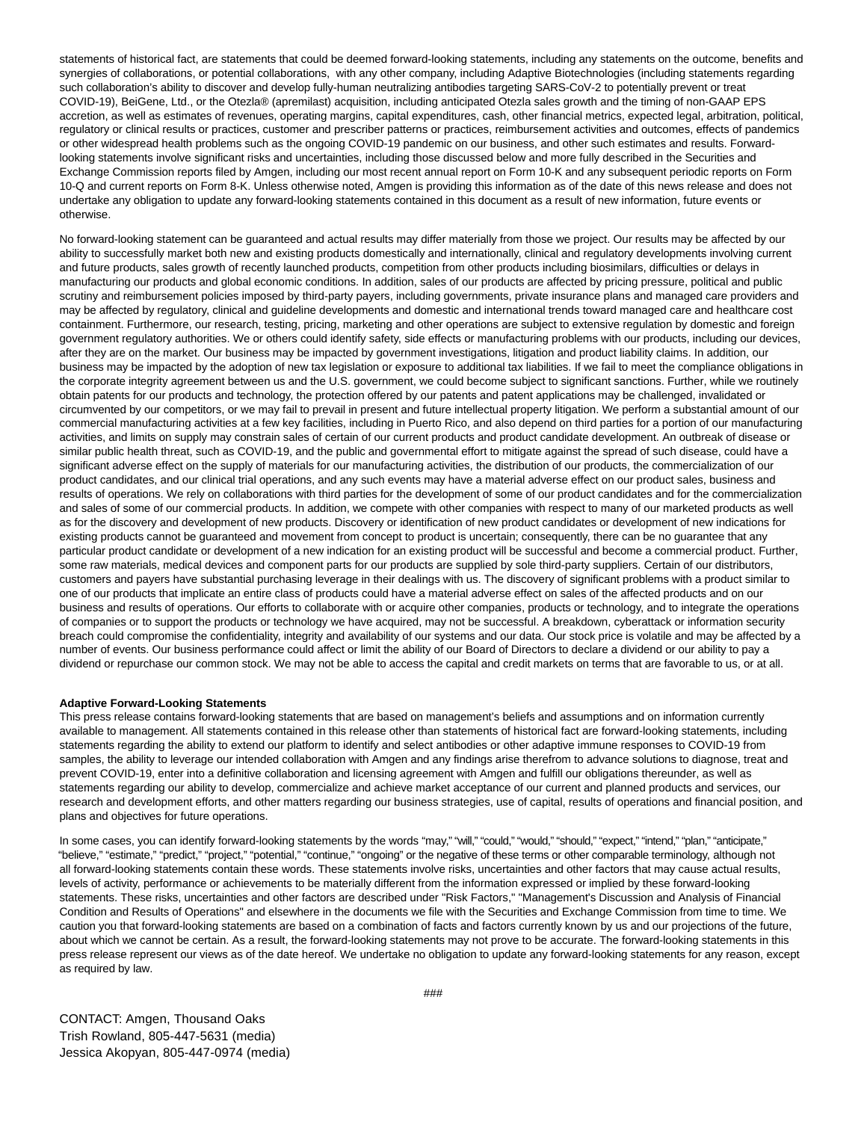statements of historical fact, are statements that could be deemed forward-looking statements, including any statements on the outcome, benefits and synergies of collaborations, or potential collaborations, with any other company, including Adaptive Biotechnologies (including statements regarding such collaboration's ability to discover and develop fully-human neutralizing antibodies targeting SARS-CoV-2 to potentially prevent or treat COVID-19), BeiGene, Ltd., or the Otezla® (apremilast) acquisition, including anticipated Otezla sales growth and the timing of non-GAAP EPS accretion, as well as estimates of revenues, operating margins, capital expenditures, cash, other financial metrics, expected legal, arbitration, political, regulatory or clinical results or practices, customer and prescriber patterns or practices, reimbursement activities and outcomes, effects of pandemics or other widespread health problems such as the ongoing COVID-19 pandemic on our business, and other such estimates and results. Forwardlooking statements involve significant risks and uncertainties, including those discussed below and more fully described in the Securities and Exchange Commission reports filed by Amgen, including our most recent annual report on Form 10-K and any subsequent periodic reports on Form 10-Q and current reports on Form 8-K. Unless otherwise noted, Amgen is providing this information as of the date of this news release and does not undertake any obligation to update any forward-looking statements contained in this document as a result of new information, future events or otherwise.

No forward-looking statement can be guaranteed and actual results may differ materially from those we project. Our results may be affected by our ability to successfully market both new and existing products domestically and internationally, clinical and regulatory developments involving current and future products, sales growth of recently launched products, competition from other products including biosimilars, difficulties or delays in manufacturing our products and global economic conditions. In addition, sales of our products are affected by pricing pressure, political and public scrutiny and reimbursement policies imposed by third-party payers, including governments, private insurance plans and managed care providers and may be affected by regulatory, clinical and guideline developments and domestic and international trends toward managed care and healthcare cost containment. Furthermore, our research, testing, pricing, marketing and other operations are subject to extensive regulation by domestic and foreign government regulatory authorities. We or others could identify safety, side effects or manufacturing problems with our products, including our devices, after they are on the market. Our business may be impacted by government investigations, litigation and product liability claims. In addition, our business may be impacted by the adoption of new tax legislation or exposure to additional tax liabilities. If we fail to meet the compliance obligations in the corporate integrity agreement between us and the U.S. government, we could become subject to significant sanctions. Further, while we routinely obtain patents for our products and technology, the protection offered by our patents and patent applications may be challenged, invalidated or circumvented by our competitors, or we may fail to prevail in present and future intellectual property litigation. We perform a substantial amount of our commercial manufacturing activities at a few key facilities, including in Puerto Rico, and also depend on third parties for a portion of our manufacturing activities, and limits on supply may constrain sales of certain of our current products and product candidate development. An outbreak of disease or similar public health threat, such as COVID-19, and the public and governmental effort to mitigate against the spread of such disease, could have a significant adverse effect on the supply of materials for our manufacturing activities, the distribution of our products, the commercialization of our product candidates, and our clinical trial operations, and any such events may have a material adverse effect on our product sales, business and results of operations. We rely on collaborations with third parties for the development of some of our product candidates and for the commercialization and sales of some of our commercial products. In addition, we compete with other companies with respect to many of our marketed products as well as for the discovery and development of new products. Discovery or identification of new product candidates or development of new indications for existing products cannot be guaranteed and movement from concept to product is uncertain; consequently, there can be no guarantee that any particular product candidate or development of a new indication for an existing product will be successful and become a commercial product. Further, some raw materials, medical devices and component parts for our products are supplied by sole third-party suppliers. Certain of our distributors, customers and payers have substantial purchasing leverage in their dealings with us. The discovery of significant problems with a product similar to one of our products that implicate an entire class of products could have a material adverse effect on sales of the affected products and on our business and results of operations. Our efforts to collaborate with or acquire other companies, products or technology, and to integrate the operations of companies or to support the products or technology we have acquired, may not be successful. A breakdown, cyberattack or information security breach could compromise the confidentiality, integrity and availability of our systems and our data. Our stock price is volatile and may be affected by a number of events. Our business performance could affect or limit the ability of our Board of Directors to declare a dividend or our ability to pay a dividend or repurchase our common stock. We may not be able to access the capital and credit markets on terms that are favorable to us, or at all.

## **Adaptive Forward-Looking Statements**

This press release contains forward-looking statements that are based on management's beliefs and assumptions and on information currently available to management. All statements contained in this release other than statements of historical fact are forward-looking statements, including statements regarding the ability to extend our platform to identify and select antibodies or other adaptive immune responses to COVID-19 from samples, the ability to leverage our intended collaboration with Amgen and any findings arise therefrom to advance solutions to diagnose, treat and prevent COVID-19, enter into a definitive collaboration and licensing agreement with Amgen and fulfill our obligations thereunder, as well as statements regarding our ability to develop, commercialize and achieve market acceptance of our current and planned products and services, our research and development efforts, and other matters regarding our business strategies, use of capital, results of operations and financial position, and plans and objectives for future operations.

In some cases, you can identify forward-looking statements by the words "may," "will," "could," "would," "should," "expect," "intend," "plan," "anticipate," "believe," "estimate," "predict," "project," "potential," "continue," "ongoing" or the negative of these terms or other comparable terminology, although not all forward-looking statements contain these words. These statements involve risks, uncertainties and other factors that may cause actual results, levels of activity, performance or achievements to be materially different from the information expressed or implied by these forward-looking statements. These risks, uncertainties and other factors are described under "Risk Factors," "Management's Discussion and Analysis of Financial Condition and Results of Operations" and elsewhere in the documents we file with the Securities and Exchange Commission from time to time. We caution you that forward-looking statements are based on a combination of facts and factors currently known by us and our projections of the future, about which we cannot be certain. As a result, the forward-looking statements may not prove to be accurate. The forward-looking statements in this press release represent our views as of the date hereof. We undertake no obligation to update any forward-looking statements for any reason, except as required by law.